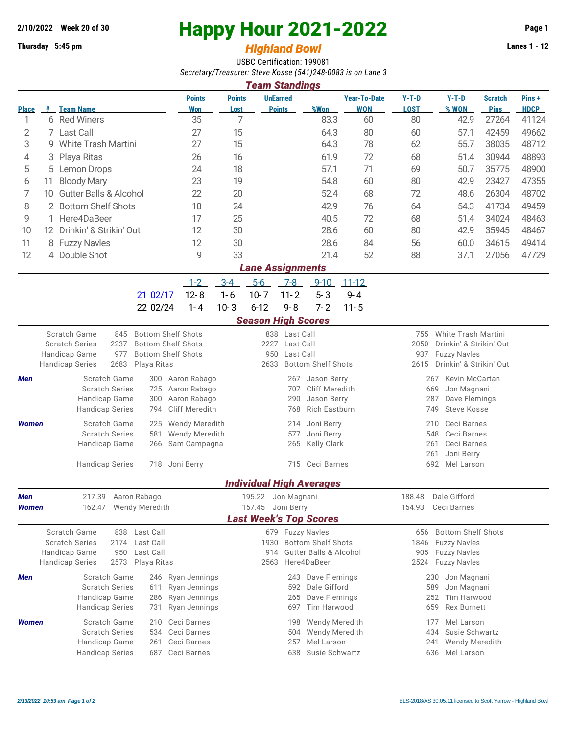## **2/10/2022** Week 20 of 30<br> **Happy Hour 2021-2022** Page 1<br> **Page 1**<br> **Page 1**<br> **Page 1**<br> **Page 1**<br> **Page 1**<br> **Page 1**<br> **Page 1**

## **Thursday 5:45 pm** *Highland Bowl*

USBC Certification: 199081 *Secretary/Treasurer: Steve Kosse (541)248-0083 is on Lane 3 Team Standings*

| ream Standings                |                                |                                                            |                             |                                   |                                  |               |                                   |                                   |                                 |                                         |                               |                      |  |  |
|-------------------------------|--------------------------------|------------------------------------------------------------|-----------------------------|-----------------------------------|----------------------------------|---------------|-----------------------------------|-----------------------------------|---------------------------------|-----------------------------------------|-------------------------------|----------------------|--|--|
| <b>Place</b>                  |                                | # Team Name                                                | <b>Points</b><br><b>Won</b> | <b>Points</b><br>Lost             | <b>UnEarned</b><br><b>Points</b> |               | %Won                              | <b>Year-To-Date</b><br><b>WON</b> | $Y-T-D$<br><b>LOST</b>          | $Y-T-D$<br>% WON                        | <b>Scratch</b><br><b>Pins</b> | Pins+<br><b>HDCP</b> |  |  |
| 1                             |                                | 6 Red Winers                                               | 35                          | 7                                 |                                  |               | 83.3                              | 60                                | 80                              | 42.9                                    | 27264                         | 41124                |  |  |
| 2                             |                                | 7 Last Call                                                | 27                          | 15                                |                                  |               | 64.3                              | 80                                | 60                              | 57.1                                    | 42459                         | 49662                |  |  |
| 3                             |                                | 9 White Trash Martini                                      | 27                          | 15                                |                                  |               | 64.3                              | 78                                | 62                              | 55.7                                    | 38035                         | 48712                |  |  |
| 4                             | 3                              | Playa Ritas                                                | 26                          | 16                                |                                  |               | 61.9                              | 72                                | 68                              | 51.4                                    | 30944                         | 48893                |  |  |
| 5                             | 5                              | Lemon Drops                                                | 24                          | 18                                |                                  |               | 57.1                              | 71                                | 69                              | 50.7                                    | 35775                         | 48900                |  |  |
| 6                             | 11                             | <b>Bloody Mary</b>                                         | 23                          | 19                                |                                  |               | 54.8                              | 60                                | 80                              | 42.9                                    | 23427                         | 47355                |  |  |
|                               |                                |                                                            | 22                          | 20                                |                                  |               | 52.4                              | 68                                | 72                              |                                         | 26304                         | 48702                |  |  |
|                               | 7<br>10 Gutter Balls & Alcohol |                                                            |                             |                                   |                                  |               |                                   |                                   |                                 | 48.6                                    |                               |                      |  |  |
| 2 Bottom Shelf Shots<br>8     |                                |                                                            | 18<br>17                    | 24                                |                                  |               | 42.9                              | 76                                | 64                              | 54.3                                    | 41734                         | 49459                |  |  |
|                               | 9<br>1 Here4DaBeer             |                                                            |                             | 25                                |                                  |               | 40.5                              | 72                                | 68                              | 51.4                                    | 34024                         | 48463                |  |  |
| 10                            |                                | 12 Drinkin' & Strikin' Out                                 | 12                          | 30                                |                                  |               | 28.6                              | 60                                | 80                              | 42.9                                    | 35945                         | 48467                |  |  |
| 11                            |                                | 8 Fuzzy Navles                                             | 12                          | 30                                |                                  |               | 28.6                              | 84                                | 56                              | 60.0                                    | 34615                         | 49414                |  |  |
| 12                            |                                | 4 Double Shot                                              | 9                           | 33                                |                                  |               | 21.4                              | 52                                | 88                              | 37.1                                    | 27056                         | 47729                |  |  |
| <b>Lane Assignments</b>       |                                |                                                            |                             |                                   |                                  |               |                                   |                                   |                                 |                                         |                               |                      |  |  |
|                               |                                |                                                            | $1 - 2$                     | $3 - 4$                           | $5-6$                            | 7-8           | $9 - 10$                          | $11 - 12$                         |                                 |                                         |                               |                      |  |  |
|                               |                                | 21 02/17                                                   | $12 - 8$                    | $1 - 6$                           | $10 - 7$                         | $11 - 2$      | $5 - 3$                           | $9 - 4$                           |                                 |                                         |                               |                      |  |  |
|                               |                                | 22 02/24                                                   | $1 - 4$                     | $10 - 3$                          | $6 - 12$                         | $9 - 8$       | $7 - 2$                           | $11 - 5$                          |                                 |                                         |                               |                      |  |  |
|                               |                                |                                                            |                             |                                   | <b>Season High Scores</b>        |               |                                   |                                   |                                 |                                         |                               |                      |  |  |
|                               |                                | <b>Bottom Shelf Shots</b><br>Scratch Game<br>845           |                             |                                   |                                  | 838 Last Call |                                   |                                   | 755                             | <b>White Trash Martini</b>              |                               |                      |  |  |
|                               |                                | 2237<br><b>Bottom Shelf Shots</b><br><b>Scratch Series</b> |                             |                                   | 2227                             | Last Call     |                                   |                                   | 2050<br>Drinkin' & Strikin' Out |                                         |                               |                      |  |  |
|                               |                                | Handicap Game<br>977<br><b>Bottom Shelf Shots</b>          |                             |                                   | Last Call<br>950                 |               |                                   |                                   | <b>Fuzzy Navles</b><br>937      |                                         |                               |                      |  |  |
|                               |                                | 2683<br><b>Handicap Series</b><br>Playa Ritas              |                             |                                   | 2633                             |               | <b>Bottom Shelf Shots</b>         |                                   | Drinkin' & Strikin' Out<br>2615 |                                         |                               |                      |  |  |
| Men                           |                                | Scratch Game<br>300                                        | Aaron Rabago                |                                   |                                  | 267           | Jason Berry                       |                                   | Kevin McCartan<br>267           |                                         |                               |                      |  |  |
|                               |                                | <b>Scratch Series</b><br>725                               | Aaron Rabago                |                                   | <b>Cliff Meredith</b><br>707     |               |                                   |                                   | 669<br>Jon Magnani              |                                         |                               |                      |  |  |
|                               |                                | Handicap Game<br>300                                       | Aaron Rabago                |                                   |                                  | 290           | Jason Berry                       |                                   | Dave Flemings<br>287            |                                         |                               |                      |  |  |
|                               |                                | <b>Handicap Series</b><br>794                              | <b>Cliff Meredith</b>       |                                   |                                  | 768           | <b>Rich Eastburn</b>              |                                   | <b>Steve Kosse</b><br>749       |                                         |                               |                      |  |  |
| Women                         |                                | Scratch Game<br>225                                        | <b>Wendy Meredith</b>       |                                   |                                  | 214           | Joni Berry                        |                                   | 210                             | Ceci Barnes                             |                               |                      |  |  |
|                               |                                | <b>Scratch Series</b><br>581                               | <b>Wendy Meredith</b>       |                                   |                                  | 577           | Joni Berry                        |                                   | Ceci Barnes<br>548              |                                         |                               |                      |  |  |
|                               |                                | Handicap Game<br>266                                       | Sam Campagna                |                                   | Kelly Clark<br>265               |               |                                   |                                   | Ceci Barnes<br>261              |                                         |                               |                      |  |  |
|                               |                                |                                                            |                             |                                   |                                  |               |                                   |                                   | Joni Berry<br>261               |                                         |                               |                      |  |  |
|                               |                                | <b>Handicap Series</b><br>718                              | Joni Berry                  |                                   | 715 Ceci Barnes                  |               |                                   |                                   |                                 | Mel Larson<br>692                       |                               |                      |  |  |
|                               |                                |                                                            |                             |                                   |                                  |               | <b>Individual High Averages</b>   |                                   |                                 |                                         |                               |                      |  |  |
| Men                           |                                | 217.39 Aaron Rabago                                        | 195.22 Jon Magnani          |                                   |                                  |               |                                   |                                   | 188.48                          | Dale Gifford                            |                               |                      |  |  |
| Women                         |                                | 162.47 Wendy Meredith                                      |                             |                                   | 157.45 Joni Berry                |               |                                   |                                   | 154.93                          | Ceci Barnes                             |                               |                      |  |  |
| <b>Last Week's Top Scores</b> |                                |                                                            |                             |                                   |                                  |               |                                   |                                   |                                 |                                         |                               |                      |  |  |
|                               |                                | <b>Scratch Game</b><br>838<br>Last Call                    |                             |                                   |                                  |               | 679 Fuzzy Navles                  |                                   | 656                             | <b>Bottom Shelf Shots</b>               |                               |                      |  |  |
|                               |                                | <b>Scratch Series</b><br>Last Call<br>2174                 |                             | <b>Bottom Shelf Shots</b><br>1930 |                                  |               |                                   | <b>Fuzzy Navles</b><br>1846       |                                 |                                         |                               |                      |  |  |
|                               |                                | Handicap Game<br>950<br>Last Call                          |                             |                                   | 914                              |               | <b>Gutter Balls &amp; Alcohol</b> |                                   | 905                             | <b>Fuzzy Navles</b>                     |                               |                      |  |  |
|                               |                                | 2573<br><b>Handicap Series</b><br>Playa Ritas              |                             | Here4DaBeer<br>2563               |                                  |               |                                   |                                   | 2524 Fuzzy Navles               |                                         |                               |                      |  |  |
| Men                           |                                | Scratch Game                                               | 246 Ryan Jennings           |                                   |                                  |               | 243 Dave Flemings                 |                                   | Jon Magnani<br>230              |                                         |                               |                      |  |  |
|                               |                                | <b>Scratch Series</b><br>611                               | Ryan Jennings               |                                   |                                  | 592           | Dale Gifford                      |                                   | 589                             | Jon Magnani                             |                               |                      |  |  |
|                               |                                | Handicap Game<br>286                                       | Ryan Jennings               |                                   |                                  | 265           | Dave Flemings                     |                                   | 252                             | Tim Harwood                             |                               |                      |  |  |
|                               |                                | <b>Handicap Series</b><br>731                              | Ryan Jennings               |                                   |                                  | 697           | <b>Tim Harwood</b>                |                                   | 659                             | <b>Rex Burnett</b>                      |                               |                      |  |  |
| Women                         |                                | Scratch Game<br>210                                        | Ceci Barnes                 |                                   |                                  | 198           | Wendy Meredith                    |                                   | 177                             | Mel Larson                              |                               |                      |  |  |
|                               |                                | <b>Scratch Series</b><br>534                               | Ceci Barnes                 |                                   |                                  | 504           | Wendy Meredith                    |                                   | 434                             | Susie Schwartz                          |                               |                      |  |  |
|                               |                                | Handicap Game<br>261                                       | Ceci Barnes                 |                                   |                                  | 257           | Mel Larson                        |                                   | 241                             | <b>Wendy Meredith</b><br>636 Mel Larson |                               |                      |  |  |
|                               |                                | <b>Handicap Series</b><br>687                              | Ceci Barnes                 |                                   |                                  | 638           | Susie Schwartz                    |                                   |                                 |                                         |                               |                      |  |  |